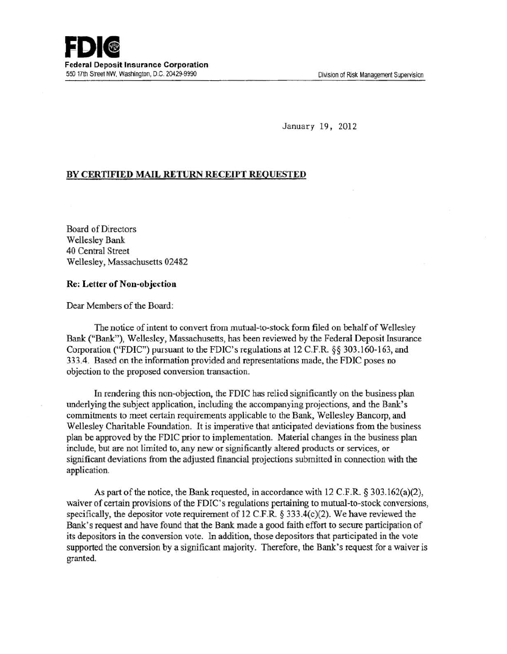January 19, 2012

## BY CERTIFIED MAIL RETURN RECEIPT REQUESTED

Board of Directors Wellesley Bank 40 Central Street Wellesley, Massachusetts 02482

## Re: Letter of Non-objection

Dear Members of the Board:

The notice of intent to convert from mutual-to-stock form filed on behalf of Wellesley Bank ("Bank"), Wellesley, Massachusetts, has been reviewed by the Federal Deposit Insurance Corporation ("FDIC") pursuant to the FDIC's regulations at 12 C.F.R. §§ 303.160-163, and 333.4. Based on the information provided and representations made, the FDIC poses no objection to the proposed conversion transaction.

In rendering this non-objection, the FDIC has relied significantly on the business plan underlying the subject application, including the accompanying projections, and the Bank's commitments to meet certain requirements applicable to the Bank, Wellesley Bancorp, and Wellesley Charitable Foundation. It is imperative that anticipated deviations from the business plan be approved by the FDIC prior to implementation. Material changes in the business plan include, but are not limited to, any new or significantly altered products or services, or significant deviations from the adjusted fmancial projections submitted in connection with the application.

As part of the notice, the Bank requested, in accordance with 12 C.F.R. § 303.162(a)(2), waiver of certain provisions of the FDIC's regulations pertaining to mutual-to-stock conversions, specifically, the depositor vote requirement of 12 C.F.R.  $\S$  333.4(c)(2). We have reviewed the Bank's request and have found that the Bank made a good faith effort to secure participation of its depositors in the conversion vote. In addition, those depositors that participated in the vote supported the conversion by a significant majority. Therefore, the Bank's request for a waiver is granted.